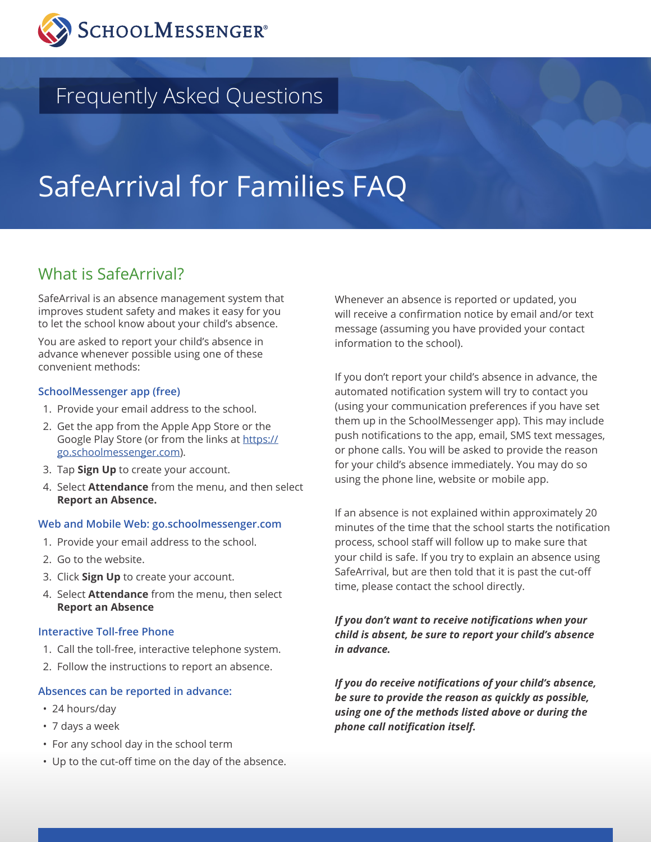

## Frequently Asked Questions

# SafeArrival for Families FAQ

## What is SafeArrival?

SafeArrival is an absence management system that improves student safety and makes it easy for you to let the school know about your child's absence.

You are asked to report your child's absence in advance whenever possible using one of these convenient methods:

#### **SchoolMessenger app (free)**

- 1. Provide your email address to the school.
- 2. Get the app from the Apple App Store or the Google Play Store (or from the links at https:// go.schoolmessenger.com).
- 3. Tap **Sign Up** to create your account.
- 4. Select **Attendance** from the menu, and then select **Report an Absence.**

#### **Web and Mobile Web: go.schoolmessenger.com**

- 1. Provide your email address to the school.
- 2. Go to the website.
- 3. Click **Sign Up** to create your account.
- 4. Select **Attendance** from the menu, then select **Report an Absence**

#### **Interactive Toll-free Phone**

- 1. Call the toll-free, interactive telephone system.
- 2. Follow the instructions to report an absence.

#### **Absences can be reported in advance:**

- 24 hours/day
- 7 days a week
- For any school day in the school term
- Up to the cut-off time on the day of the absence.

Whenever an absence is reported or updated, you will receive a confirmation notice by email and/or text message (assuming you have provided your contact information to the school).

If you don't report your child's absence in advance, the automated notification system will try to contact you (using your communication preferences if you have set them up in the SchoolMessenger app). This may include push notifications to the app, email, SMS text messages, or phone calls. You will be asked to provide the reason for your child's absence immediately. You may do so using the phone line, website or mobile app.

If an absence is not explained within approximately 20 minutes of the time that the school starts the notification process, school staff will follow up to make sure that your child is safe. If you try to explain an absence using SafeArrival, but are then told that it is past the cut-off time, please contact the school directly.

*If you don't want to receive notifications when your child is absent, be sure to report your child's absence in advance.* 

*If you do receive notifications of your child's absence, be sure to provide the reason as quickly as possible, using one of the methods listed above or during the phone call notification itself.*